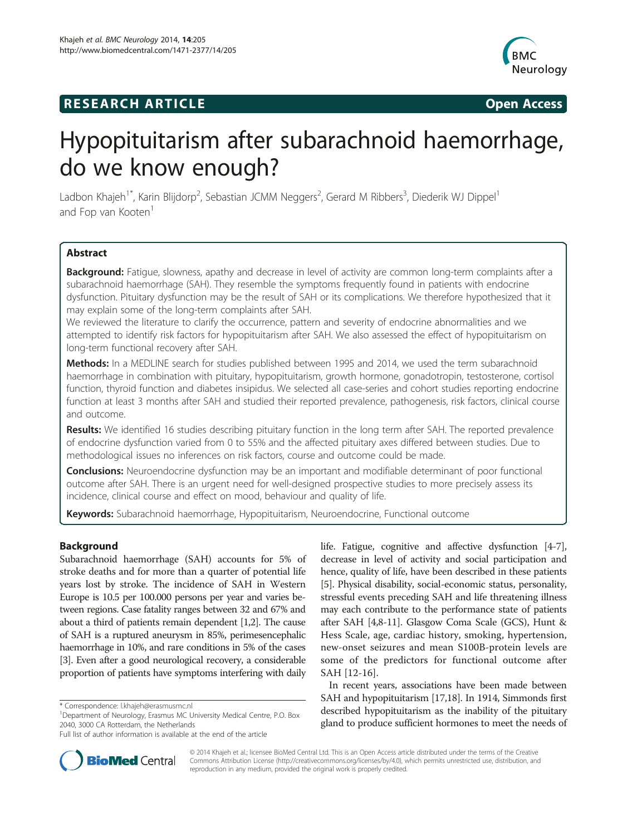# **RESEARCH ARTICLE Example 2014 12:30 The SEAR CHA RESEARCH ARTICLE**



# Hypopituitarism after subarachnoid haemorrhage, do we know enough?

Ladbon Khajeh<sup>1\*</sup>, Karin Blijdorp<sup>2</sup>, Sebastian JCMM Neggers<sup>2</sup>, Gerard M Ribbers<sup>3</sup>, Diederik WJ Dippel<sup>1</sup> and Fop van Kooten<sup>1</sup>

# **Abstract**

Background: Fatigue, slowness, apathy and decrease in level of activity are common long-term complaints after a subarachnoid haemorrhage (SAH). They resemble the symptoms frequently found in patients with endocrine dysfunction. Pituitary dysfunction may be the result of SAH or its complications. We therefore hypothesized that it may explain some of the long-term complaints after SAH.

We reviewed the literature to clarify the occurrence, pattern and severity of endocrine abnormalities and we attempted to identify risk factors for hypopituitarism after SAH. We also assessed the effect of hypopituitarism on long-term functional recovery after SAH.

Methods: In a MEDLINE search for studies published between 1995 and 2014, we used the term subarachnoid haemorrhage in combination with pituitary, hypopituitarism, growth hormone, gonadotropin, testosterone, cortisol function, thyroid function and diabetes insipidus. We selected all case-series and cohort studies reporting endocrine function at least 3 months after SAH and studied their reported prevalence, pathogenesis, risk factors, clinical course and outcome.

Results: We identified 16 studies describing pituitary function in the long term after SAH. The reported prevalence of endocrine dysfunction varied from 0 to 55% and the affected pituitary axes differed between studies. Due to methodological issues no inferences on risk factors, course and outcome could be made.

**Conclusions:** Neuroendocrine dysfunction may be an important and modifiable determinant of poor functional outcome after SAH. There is an urgent need for well-designed prospective studies to more precisely assess its incidence, clinical course and effect on mood, behaviour and quality of life.

Keywords: Subarachnoid haemorrhage, Hypopituitarism, Neuroendocrine, Functional outcome

# Background

Subarachnoid haemorrhage (SAH) accounts for 5% of stroke deaths and for more than a quarter of potential life years lost by stroke. The incidence of SAH in Western Europe is 10.5 per 100.000 persons per year and varies between regions. Case fatality ranges between 32 and 67% and about a third of patients remain dependent [\[1,2\]](#page-6-0). The cause of SAH is a ruptured aneurysm in 85%, perimesencephalic haemorrhage in 10%, and rare conditions in 5% of the cases [[3](#page-6-0)]. Even after a good neurological recovery, a considerable proportion of patients have symptoms interfering with daily

life. Fatigue, cognitive and affective dysfunction [\[4](#page-6-0)-[7](#page-6-0)], decrease in level of activity and social participation and hence, quality of life, have been described in these patients [[5\]](#page-6-0). Physical disability, social-economic status, personality, stressful events preceding SAH and life threatening illness may each contribute to the performance state of patients after SAH [[4,8](#page-6-0)-[11](#page-6-0)]. Glasgow Coma Scale (GCS), Hunt & Hess Scale, age, cardiac history, smoking, hypertension, new-onset seizures and mean S100B-protein levels are some of the predictors for functional outcome after SAH [\[12-16](#page-6-0)].

In recent years, associations have been made between SAH and hypopituitarism [\[17,18](#page-6-0)]. In 1914, Simmonds first described hypopituitarism as the inability of the pituitary gland to produce sufficient hormones to meet the needs of



© 2014 Khajeh et al.; licensee BioMed Central Ltd. This is an Open Access article distributed under the terms of the Creative Commons Attribution License [\(http://creativecommons.org/licenses/by/4.0\)](http://creativecommons.org/licenses/by/4.0), which permits unrestricted use, distribution, and reproduction in any medium, provided the original work is properly credited.

<sup>\*</sup> Correspondence: [l.khajeh@erasmusmc.nl](mailto:l.khajeh@erasmusmc.nl) <sup>1</sup>

<sup>&</sup>lt;sup>1</sup>Department of Neurology, Erasmus MC University Medical Centre, P.O. Box 2040, 3000 CA Rotterdam, the Netherlands

Full list of author information is available at the end of the article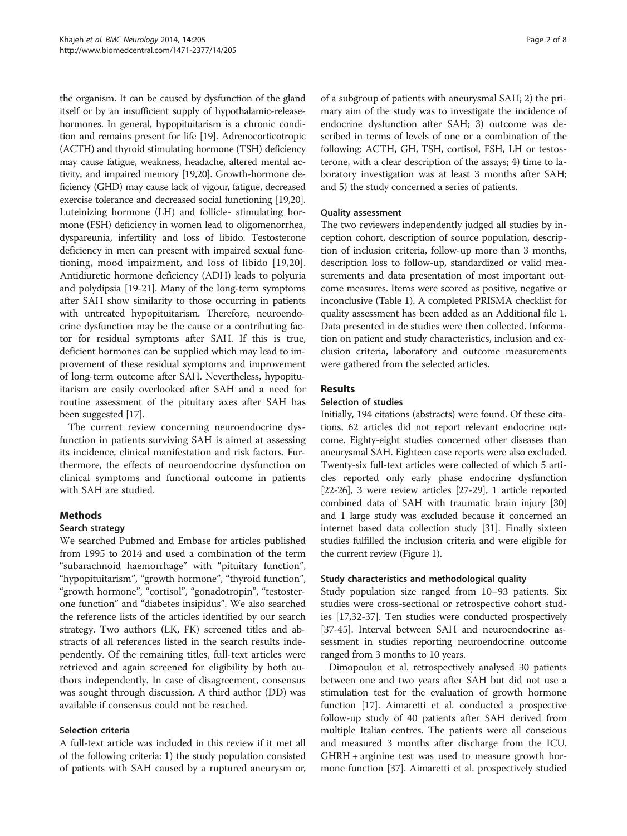the organism. It can be caused by dysfunction of the gland itself or by an insufficient supply of hypothalamic-releasehormones. In general, hypopituitarism is a chronic condition and remains present for life [[19](#page-6-0)]. Adrenocorticotropic (ACTH) and thyroid stimulating hormone (TSH) deficiency may cause fatigue, weakness, headache, altered mental activity, and impaired memory [\[19,20\]](#page-6-0). Growth-hormone deficiency (GHD) may cause lack of vigour, fatigue, decreased exercise tolerance and decreased social functioning [[19,20](#page-6-0)]. Luteinizing hormone (LH) and follicle- stimulating hormone (FSH) deficiency in women lead to oligomenorrhea, dyspareunia, infertility and loss of libido. Testosterone deficiency in men can present with impaired sexual functioning, mood impairment, and loss of libido [\[19,20](#page-6-0)]. Antidiuretic hormone deficiency (ADH) leads to polyuria and polydipsia [\[19-21](#page-6-0)]. Many of the long-term symptoms after SAH show similarity to those occurring in patients with untreated hypopituitarism. Therefore, neuroendocrine dysfunction may be the cause or a contributing factor for residual symptoms after SAH. If this is true, deficient hormones can be supplied which may lead to improvement of these residual symptoms and improvement of long-term outcome after SAH. Nevertheless, hypopituitarism are easily overlooked after SAH and a need for routine assessment of the pituitary axes after SAH has been suggested [[17](#page-6-0)].

The current review concerning neuroendocrine dysfunction in patients surviving SAH is aimed at assessing its incidence, clinical manifestation and risk factors. Furthermore, the effects of neuroendocrine dysfunction on clinical symptoms and functional outcome in patients with SAH are studied.

# Methods

# Search strategy

We searched Pubmed and Embase for articles published from 1995 to 2014 and used a combination of the term "subarachnoid haemorrhage" with "pituitary function", "hypopituitarism", "growth hormone", "thyroid function", "growth hormone", "cortisol", "gonadotropin", "testosterone function" and "diabetes insipidus". We also searched the reference lists of the articles identified by our search strategy. Two authors (LK, FK) screened titles and abstracts of all references listed in the search results independently. Of the remaining titles, full-text articles were retrieved and again screened for eligibility by both authors independently. In case of disagreement, consensus was sought through discussion. A third author (DD) was available if consensus could not be reached.

# Selection criteria

A full-text article was included in this review if it met all of the following criteria: 1) the study population consisted of patients with SAH caused by a ruptured aneurysm or,

of a subgroup of patients with aneurysmal SAH; 2) the primary aim of the study was to investigate the incidence of endocrine dysfunction after SAH; 3) outcome was described in terms of levels of one or a combination of the following: ACTH, GH, TSH, cortisol, FSH, LH or testosterone, with a clear description of the assays; 4) time to laboratory investigation was at least 3 months after SAH; and 5) the study concerned a series of patients.

# Quality assessment

The two reviewers independently judged all studies by inception cohort, description of source population, description of inclusion criteria, follow-up more than 3 months, description loss to follow-up, standardized or valid measurements and data presentation of most important outcome measures. Items were scored as positive, negative or inconclusive (Table [1](#page-2-0)). A completed PRISMA checklist for quality assessment has been added as an Additional file [1](#page-6-0). Data presented in de studies were then collected. Information on patient and study characteristics, inclusion and exclusion criteria, laboratory and outcome measurements were gathered from the selected articles.

# Results

## Selection of studies

Initially, 194 citations (abstracts) were found. Of these citations, 62 articles did not report relevant endocrine outcome. Eighty-eight studies concerned other diseases than aneurysmal SAH. Eighteen case reports were also excluded. Twenty-six full-text articles were collected of which 5 articles reported only early phase endocrine dysfunction [[22](#page-6-0)-[26](#page-6-0)], 3 were review articles [\[27](#page-6-0)[-29](#page-7-0)], 1 article reported combined data of SAH with traumatic brain injury [\[30](#page-7-0)] and 1 large study was excluded because it concerned an internet based data collection study [\[31](#page-7-0)]. Finally sixteen studies fulfilled the inclusion criteria and were eligible for the current review (Figure [1\)](#page-3-0).

## Study characteristics and methodological quality

Study population size ranged from 10–93 patients. Six studies were cross-sectional or retrospective cohort studies [\[17,](#page-6-0)[32-37\]](#page-7-0). Ten studies were conducted prospectively [[37](#page-7-0)-[45\]](#page-7-0). Interval between SAH and neuroendocrine assessment in studies reporting neuroendocrine outcome ranged from 3 months to 10 years.

Dimopoulou et al. retrospectively analysed 30 patients between one and two years after SAH but did not use a stimulation test for the evaluation of growth hormone function [[17](#page-6-0)]. Aimaretti et al. conducted a prospective follow-up study of 40 patients after SAH derived from multiple Italian centres. The patients were all conscious and measured 3 months after discharge from the ICU. GHRH + arginine test was used to measure growth hormone function [[37\]](#page-7-0). Aimaretti et al. prospectively studied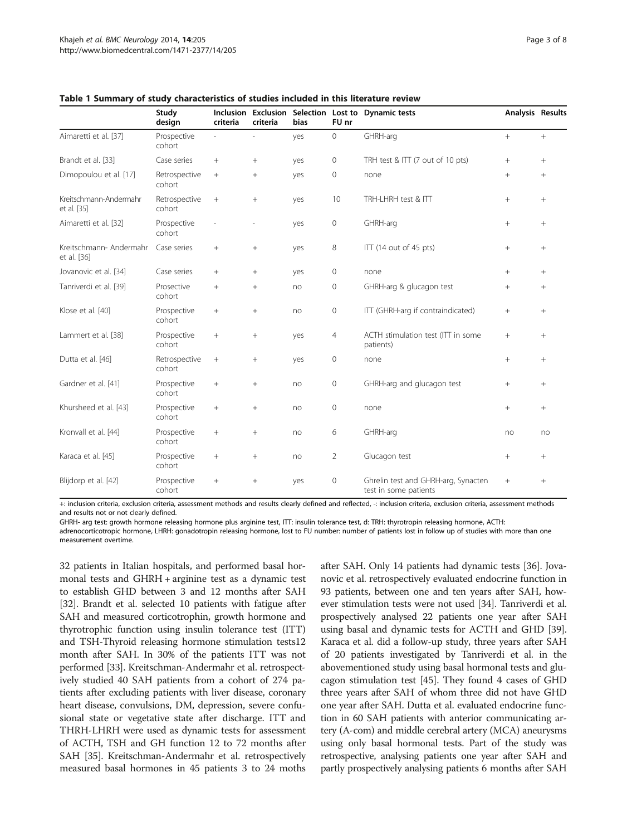|                                        | Study<br>design         | criteria | Inclusion Exclusion<br>criteria | <b>bias</b> | FU nr          | Selection Lost to Dynamic tests                              | Analysis Results |        |
|----------------------------------------|-------------------------|----------|---------------------------------|-------------|----------------|--------------------------------------------------------------|------------------|--------|
| Aimaretti et al. [37]                  | Prospective<br>cohort   |          | L.                              | yes         | $\mathbf 0$    | GHRH-arg                                                     | $+$              | $^{+}$ |
| Brandt et al. [33]                     | Case series             | $^{+}$   | $^{+}$                          | yes         | $\mathbf 0$    | TRH test & ITT (7 out of 10 pts)                             | $^{+}$           | $^{+}$ |
| Dimopoulou et al. [17]                 | Retrospective<br>cohort | $+$      | $^{+}$                          | yes         | $\mathbf 0$    | none                                                         | $+$              | $^{+}$ |
| Kreitschmann-Andermahr<br>et al. [35]  | Retrospective<br>cohort | $^{+}$   | $^{+}$                          | yes         | 10             | TRH-LHRH test & ITT                                          | $+$              | $^{+}$ |
| Aimaretti et al. [32]                  | Prospective<br>cohort   |          | ٠                               | yes         | $\mathbf 0$    | GHRH-arg                                                     | $^{+}$           | $^{+}$ |
| Kreitschmann- Andermahr<br>et al. [36] | Case series             | $^{+}$   | $^{+}$                          | yes         | 8              | $ITT$ (14 out of 45 pts)                                     | $\! + \!\!\!\!$  | $^{+}$ |
| Jovanovic et al. [34]                  | Case series             | $+$      | $^{+}$                          | yes         | 0              | none                                                         | $+$              | $^{+}$ |
| Tanriverdi et al. [39]                 | Prosective<br>cohort    | $^{+}$   | $^{+}$                          | no          | $\mathbf{0}$   | GHRH-arg & glucagon test                                     | $^{+}$           | $^{+}$ |
| Klose et al. [40]                      | Prospective<br>cohort   | $^{+}$   | $^{+}$                          | no          | $\mathbf 0$    | ITT (GHRH-arg if contraindicated)                            | $^{+}$           | $^{+}$ |
| Lammert et al. [38]                    | Prospective<br>cohort   | $^{+}$   | $^{+}$                          | yes         | $\overline{4}$ | ACTH stimulation test (ITT in some<br>patients)              | $^{+}$           | $^{+}$ |
| Dutta et al. [46]                      | Retrospective<br>cohort | $^{+}$   | $^{+}$                          | yes         | $\mathbf 0$    | none                                                         | $^{+}$           | $^{+}$ |
| Gardner et al. [41]                    | Prospective<br>cohort   | $^{+}$   | $+$                             | no          | $\mathbf 0$    | GHRH-arg and glucagon test                                   | $^{+}$           | $^{+}$ |
| Khursheed et al. [43]                  | Prospective<br>cohort   | $^{+}$   | $^{+}$                          | no          | $\mathbf 0$    | none                                                         | $^{+}$           | $^{+}$ |
| Kronvall et al. [44]                   | Prospective<br>cohort   | $^{+}$   | $^{+}$                          | no          | 6              | GHRH-arg                                                     | no               | no     |
| Karaca et al. [45]                     | Prospective<br>cohort   | $^{+}$   | $^{+}$                          | no          | $\overline{2}$ | Glucagon test                                                | $^{+}$           | $^{+}$ |
| Blijdorp et al. [42]                   | Prospective<br>cohort   | $^{+}$   | $^{+}$                          | yes         | $\mathbf 0$    | Ghrelin test and GHRH-arg, Synacten<br>test in some patients | $+$              | $^{+}$ |

#### <span id="page-2-0"></span>Table 1 Summary of study characteristics of studies included in this literature review

+: inclusion criteria, exclusion criteria, assessment methods and results clearly defined and reflected, -: inclusion criteria, exclusion criteria, assessment methods and results not or not clearly defined.

GHRH- arg test: growth hormone releasing hormone plus arginine test, ITT: insulin tolerance test, d: TRH: thyrotropin releasing hormone, ACTH:

adrenocorticotropic hormone, LHRH: gonadotropin releasing hormone, lost to FU number: number of patients lost in follow up of studies with more than one measurement overtime.

32 patients in Italian hospitals, and performed basal hormonal tests and GHRH + arginine test as a dynamic test to establish GHD between 3 and 12 months after SAH [[32](#page-7-0)]. Brandt et al. selected 10 patients with fatigue after SAH and measured corticotrophin, growth hormone and thyrotrophic function using insulin tolerance test (ITT) and TSH-Thyroid releasing hormone stimulation tests12 month after SAH. In 30% of the patients ITT was not performed [\[33](#page-7-0)]. Kreitschman-Andermahr et al. retrospectively studied 40 SAH patients from a cohort of 274 patients after excluding patients with liver disease, coronary heart disease, convulsions, DM, depression, severe confusional state or vegetative state after discharge. ITT and THRH-LHRH were used as dynamic tests for assessment of ACTH, TSH and GH function 12 to 72 months after SAH [\[35](#page-7-0)]. Kreitschman-Andermahr et al. retrospectively measured basal hormones in 45 patients 3 to 24 moths

after SAH. Only 14 patients had dynamic tests [\[36\]](#page-7-0). Jovanovic et al. retrospectively evaluated endocrine function in 93 patients, between one and ten years after SAH, however stimulation tests were not used [\[34\]](#page-7-0). Tanriverdi et al. prospectively analysed 22 patients one year after SAH using basal and dynamic tests for ACTH and GHD [[39](#page-7-0)]. Karaca et al. did a follow-up study, three years after SAH of 20 patients investigated by Tanriverdi et al. in the abovementioned study using basal hormonal tests and glucagon stimulation test [\[45\]](#page-7-0). They found 4 cases of GHD three years after SAH of whom three did not have GHD one year after SAH. Dutta et al. evaluated endocrine function in 60 SAH patients with anterior communicating artery (A-com) and middle cerebral artery (MCA) aneurysms using only basal hormonal tests. Part of the study was retrospective, analysing patients one year after SAH and partly prospectively analysing patients 6 months after SAH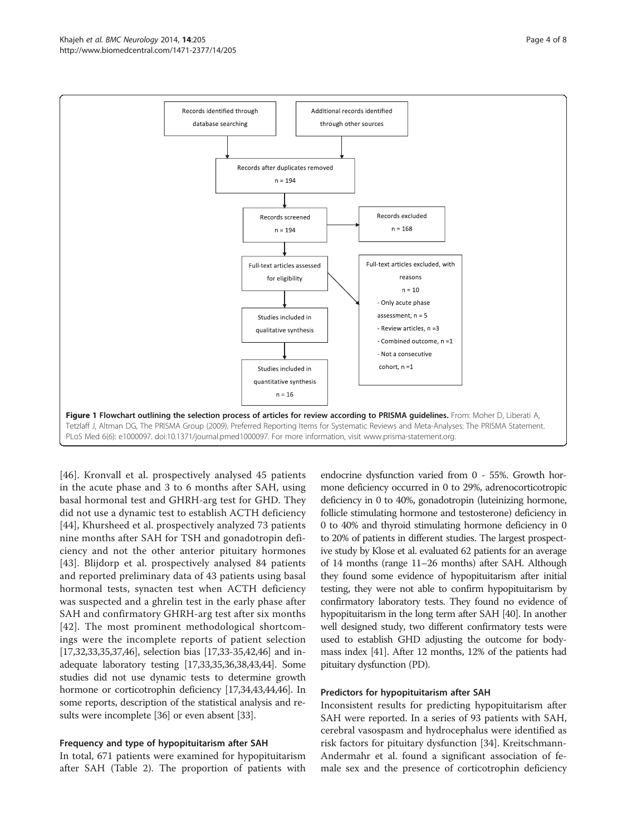<span id="page-3-0"></span>

[[46\]](#page-7-0). Kronvall et al. prospectively analysed 45 patients in the acute phase and 3 to 6 months after SAH, using basal hormonal test and GHRH-arg test for GHD. They did not use a dynamic test to establish ACTH deficiency [[44\]](#page-7-0), Khursheed et al. prospectively analyzed 73 patients nine months after SAH for TSH and gonadotropin deficiency and not the other anterior pituitary hormones [[43\]](#page-7-0). Blijdorp et al. prospectively analysed 84 patients and reported preliminary data of 43 patients using basal hormonal tests, synacten test when ACTH deficiency was suspected and a ghrelin test in the early phase after SAH and confirmatory GHRH-arg test after six months [[42](#page-7-0)]. The most prominent methodological shortcomings were the incomplete reports of patient selection [[17](#page-6-0)[,32,33,35,37,46\]](#page-7-0), selection bias [[17](#page-6-0)[,33](#page-7-0)-[35,42,46](#page-7-0)] and inadequate laboratory testing [\[17,](#page-6-0)[33,35,36,38](#page-7-0),[43,44\]](#page-7-0). Some studies did not use dynamic tests to determine growth hormone or corticotrophin deficiency [[17](#page-6-0),[34,43,44](#page-7-0),[46](#page-7-0)]. In some reports, description of the statistical analysis and results were incomplete [\[36\]](#page-7-0) or even absent [\[33\]](#page-7-0).

# Frequency and type of hypopituitarism after SAH

In total, 671 patients were examined for hypopituitarism after SAH (Table [2\)](#page-4-0). The proportion of patients with

endocrine dysfunction varied from 0 - 55%. Growth hormone deficiency occurred in 0 to 29%, adrenocorticotropic deficiency in 0 to 40%, gonadotropin (luteinizing hormone, follicle stimulating hormone and testosterone) deficiency in 0 to 40% and thyroid stimulating hormone deficiency in 0 to 20% of patients in different studies. The largest prospective study by Klose et al. evaluated 62 patients for an average of 14 months (range 11–26 months) after SAH. Although they found some evidence of hypopituitarism after initial testing, they were not able to confirm hypopituitarism by confirmatory laboratory tests. They found no evidence of hypopituitarism in the long term after SAH [\[40\]](#page-7-0). In another well designed study, two different confirmatory tests were used to establish GHD adjusting the outcome for bodymass index [\[41\]](#page-7-0). After 12 months, 12% of the patients had pituitary dysfunction (PD).

#### Predictors for hypopituitarism after SAH

Inconsistent results for predicting hypopituitarism after SAH were reported. In a series of 93 patients with SAH, cerebral vasospasm and hydrocephalus were identified as risk factors for pituitary dysfunction [\[34](#page-7-0)]. Kreitschmann-Andermahr et al. found a significant association of female sex and the presence of corticotrophin deficiency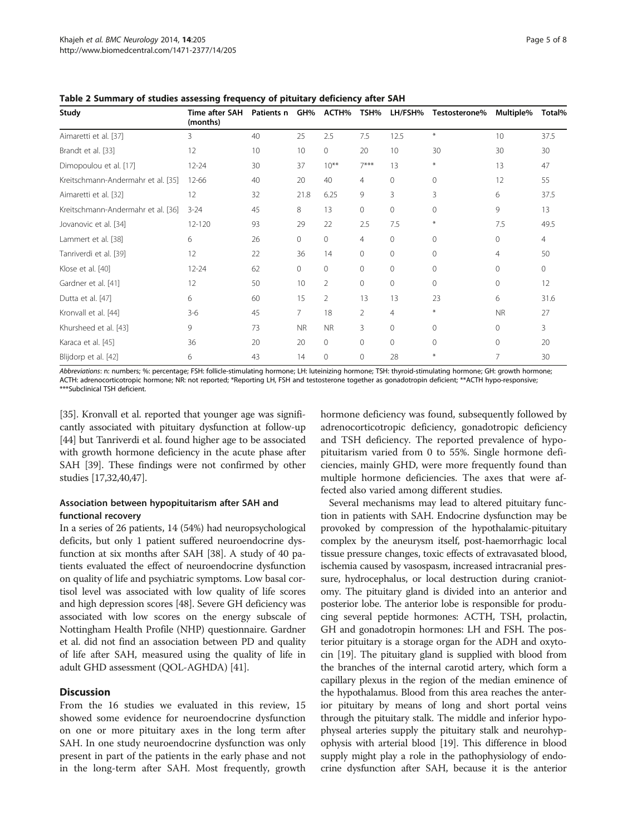| Study                              | Time after SAH<br>(months) | Patients n | GH%          | ACTH%          | TSH%           | LH/FSH%         | Testosterone% | Multiple%      | Total% |
|------------------------------------|----------------------------|------------|--------------|----------------|----------------|-----------------|---------------|----------------|--------|
| Aimaretti et al. [37]              | 3                          | 40         | 25           | 2.5            | 7.5            | 12.5            | $\ast$        | 10             | 37.5   |
| Brandt et al. [33]                 | 12                         | 10         | 10           | $\Omega$       | 20             | 10 <sup>2</sup> | 30            | 30             | 30     |
| Dimopoulou et al. [17]             | $12 - 24$                  | 30         | 37           | $10***$        | $7***$         | 13              | $*$           | 13             | 47     |
| Kreitschmann-Andermahr et al. [35] | $12 - 66$                  | 40         | 20           | 40             | 4              | $\Omega$        | $\Omega$      | 12             | 55     |
| Aimaretti et al. [32]              | 12                         | 32         | 21.8         | 6.25           | 9              | 3               | 3             | 6              | 37.5   |
| Kreitschmann-Andermahr et al. [36] | $3 - 24$                   | 45         | 8            | 13             | 0              | $\Omega$        | $\Omega$      | 9              | 13     |
| Jovanovic et al. [34]              | 12-120                     | 93         | 29           | 22             | 2.5            | 7.5             | $\ast$        | 7.5            | 49.5   |
| Lammert et al. [38]                | 6                          | 26         | $\circ$      | $\mathbf{0}$   | $\overline{4}$ | $\Omega$        | $\Omega$      | $\mathbf{0}$   | 4      |
| Tanriverdi et al. [39]             | 12                         | 22         | 36           | 14             | $\mathbf{0}$   | $\Omega$        | $\Omega$      | $\overline{4}$ | 50     |
| Klose et al. [40]                  | $12 - 24$                  | 62         | $\mathbf{0}$ | $\mathbf{0}$   | $\mathbf{0}$   | $\Omega$        | $\Omega$      | 0              | 0      |
| Gardner et al. [41]                | 12                         | 50         | 10           | 2              | $\mathbf 0$    | 0               | $\Omega$      | $\mathbf{0}$   | 12     |
| Dutta et al. [47]                  | 6                          | 60         | 15           | $\overline{2}$ | 13             | 13              | 23            | 6              | 31.6   |
| Kronvall et al. [44]               | $3-6$                      | 45         | 7            | 18             | 2              | $\overline{4}$  | ₩             | <b>NR</b>      | 27     |
| Khursheed et al. [43]              | 9                          | 73         | <b>NR</b>    | <b>NR</b>      | 3              | $\Omega$        | $\Omega$      | $\Omega$       | 3      |
| Karaca et al. [45]                 | 36                         | 20         | 20           | $\mathbf{0}$   | $\Omega$       | $\Omega$        | $\Omega$      | $\Omega$       | 20     |
| Blijdorp et al. [42]               | 6                          | 43         | 14           | $\mathbf{0}$   | 0              | 28              | ₩             | 7              | 30     |

<span id="page-4-0"></span>Table 2 Summary of studies assessing frequency of pituitary deficiency after SAH

Abbreviations: n: numbers; %: percentage; FSH: follicle-stimulating hormone; LH: luteinizing hormone; TSH: thyroid-stimulating hormone; GH: growth hormone; ACTH: adrenocorticotropic hormone; NR: not reported; \*Reporting LH, FSH and testosterone together as gonadotropin deficient; \*\*ACTH hypo-responsive; \*\*\*Subclinical TSH deficient.

[[35](#page-7-0)]. Kronvall et al. reported that younger age was significantly associated with pituitary dysfunction at follow-up [[44](#page-7-0)] but Tanriverdi et al. found higher age to be associated with growth hormone deficiency in the acute phase after SAH [[39](#page-7-0)]. These findings were not confirmed by other studies [[17,](#page-6-0)[32,40,47\]](#page-7-0).

# Association between hypopituitarism after SAH and functional recovery

In a series of 26 patients, 14 (54%) had neuropsychological deficits, but only 1 patient suffered neuroendocrine dysfunction at six months after SAH [[38](#page-7-0)]. A study of 40 patients evaluated the effect of neuroendocrine dysfunction on quality of life and psychiatric symptoms. Low basal cortisol level was associated with low quality of life scores and high depression scores [\[48\]](#page-7-0). Severe GH deficiency was associated with low scores on the energy subscale of Nottingham Health Profile (NHP) questionnaire. Gardner et al. did not find an association between PD and quality of life after SAH, measured using the quality of life in adult GHD assessment (QOL-AGHDA) [[41](#page-7-0)].

# **Discussion**

From the 16 studies we evaluated in this review, 15 showed some evidence for neuroendocrine dysfunction on one or more pituitary axes in the long term after SAH. In one study neuroendocrine dysfunction was only present in part of the patients in the early phase and not in the long-term after SAH. Most frequently, growth

hormone deficiency was found, subsequently followed by adrenocorticotropic deficiency, gonadotropic deficiency and TSH deficiency. The reported prevalence of hypopituitarism varied from 0 to 55%. Single hormone deficiencies, mainly GHD, were more frequently found than multiple hormone deficiencies. The axes that were affected also varied among different studies.

Several mechanisms may lead to altered pituitary function in patients with SAH. Endocrine dysfunction may be provoked by compression of the hypothalamic-pituitary complex by the aneurysm itself, post-haemorrhagic local tissue pressure changes, toxic effects of extravasated blood, ischemia caused by vasospasm, increased intracranial pressure, hydrocephalus, or local destruction during craniotomy. The pituitary gland is divided into an anterior and posterior lobe. The anterior lobe is responsible for producing several peptide hormones: ACTH, TSH, prolactin, GH and gonadotropin hormones: LH and FSH. The posterior pituitary is a storage organ for the ADH and oxytocin [[19](#page-6-0)]. The pituitary gland is supplied with blood from the branches of the internal carotid artery, which form a capillary plexus in the region of the median eminence of the hypothalamus. Blood from this area reaches the anterior pituitary by means of long and short portal veins through the pituitary stalk. The middle and inferior hypophyseal arteries supply the pituitary stalk and neurohypophysis with arterial blood [\[19](#page-6-0)]. This difference in blood supply might play a role in the pathophysiology of endocrine dysfunction after SAH, because it is the anterior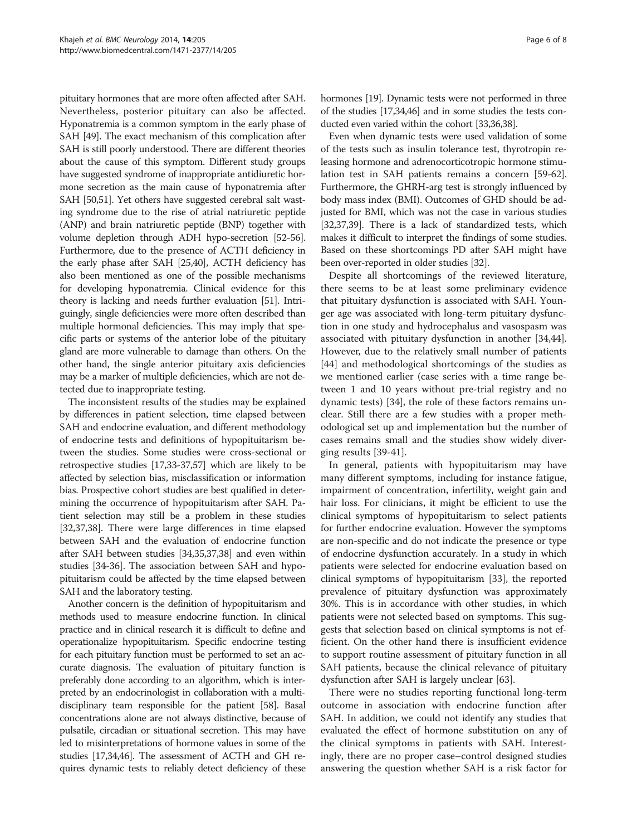pituitary hormones that are more often affected after SAH. Nevertheless, posterior pituitary can also be affected. Hyponatremia is a common symptom in the early phase of SAH [[49](#page-7-0)]. The exact mechanism of this complication after SAH is still poorly understood. There are different theories about the cause of this symptom. Different study groups have suggested syndrome of inappropriate antidiuretic hormone secretion as the main cause of hyponatremia after SAH [\[50,51](#page-7-0)]. Yet others have suggested cerebral salt wasting syndrome due to the rise of atrial natriuretic peptide (ANP) and brain natriuretic peptide (BNP) together with volume depletion through ADH hypo-secretion [[52](#page-7-0)-[56](#page-7-0)]. Furthermore, due to the presence of ACTH deficiency in the early phase after SAH [[25](#page-6-0)[,40\]](#page-7-0), ACTH deficiency has also been mentioned as one of the possible mechanisms for developing hyponatremia. Clinical evidence for this theory is lacking and needs further evaluation [\[51\]](#page-7-0). Intriguingly, single deficiencies were more often described than multiple hormonal deficiencies. This may imply that specific parts or systems of the anterior lobe of the pituitary gland are more vulnerable to damage than others. On the other hand, the single anterior pituitary axis deficiencies may be a marker of multiple deficiencies, which are not detected due to inappropriate testing.

The inconsistent results of the studies may be explained by differences in patient selection, time elapsed between SAH and endocrine evaluation, and different methodology of endocrine tests and definitions of hypopituitarism between the studies. Some studies were cross-sectional or retrospective studies [[17](#page-6-0)[,33-37,57\]](#page-7-0) which are likely to be affected by selection bias, misclassification or information bias. Prospective cohort studies are best qualified in determining the occurrence of hypopituitarism after SAH. Patient selection may still be a problem in these studies [[32,37,38\]](#page-7-0). There were large differences in time elapsed between SAH and the evaluation of endocrine function after SAH between studies [[34](#page-7-0),[35,37,38](#page-7-0)] and even within studies [\[34-36\]](#page-7-0). The association between SAH and hypopituitarism could be affected by the time elapsed between SAH and the laboratory testing.

Another concern is the definition of hypopituitarism and methods used to measure endocrine function. In clinical practice and in clinical research it is difficult to define and operationalize hypopituitarism. Specific endocrine testing for each pituitary function must be performed to set an accurate diagnosis. The evaluation of pituitary function is preferably done according to an algorithm, which is interpreted by an endocrinologist in collaboration with a multidisciplinary team responsible for the patient [\[58\]](#page-7-0). Basal concentrations alone are not always distinctive, because of pulsatile, circadian or situational secretion. This may have led to misinterpretations of hormone values in some of the studies [[17](#page-6-0)[,34,46\]](#page-7-0). The assessment of ACTH and GH requires dynamic tests to reliably detect deficiency of these hormones [\[19\]](#page-6-0). Dynamic tests were not performed in three of the studies [\[17](#page-6-0)[,34,46](#page-7-0)] and in some studies the tests conducted even varied within the cohort [[33,36,38\]](#page-7-0).

Even when dynamic tests were used validation of some of the tests such as insulin tolerance test, thyrotropin releasing hormone and adrenocorticotropic hormone stimulation test in SAH patients remains a concern [[59](#page-7-0)-[62](#page-7-0)]. Furthermore, the GHRH-arg test is strongly influenced by body mass index (BMI). Outcomes of GHD should be adjusted for BMI, which was not the case in various studies [[32,37,39\]](#page-7-0). There is a lack of standardized tests, which makes it difficult to interpret the findings of some studies. Based on these shortcomings PD after SAH might have been over-reported in older studies [\[32](#page-7-0)].

Despite all shortcomings of the reviewed literature, there seems to be at least some preliminary evidence that pituitary dysfunction is associated with SAH. Younger age was associated with long-term pituitary dysfunction in one study and hydrocephalus and vasospasm was associated with pituitary dysfunction in another [\[34,44](#page-7-0)]. However, due to the relatively small number of patients [[44\]](#page-7-0) and methodological shortcomings of the studies as we mentioned earlier (case series with a time range between 1 and 10 years without pre-trial registry and no dynamic tests) [\[34\]](#page-7-0), the role of these factors remains unclear. Still there are a few studies with a proper methodological set up and implementation but the number of cases remains small and the studies show widely diverging results [[39-41](#page-7-0)].

In general, patients with hypopituitarism may have many different symptoms, including for instance fatigue, impairment of concentration, infertility, weight gain and hair loss. For clinicians, it might be efficient to use the clinical symptoms of hypopituitarism to select patients for further endocrine evaluation. However the symptoms are non-specific and do not indicate the presence or type of endocrine dysfunction accurately. In a study in which patients were selected for endocrine evaluation based on clinical symptoms of hypopituitarism [[33](#page-7-0)], the reported prevalence of pituitary dysfunction was approximately 30%. This is in accordance with other studies, in which patients were not selected based on symptoms. This suggests that selection based on clinical symptoms is not efficient. On the other hand there is insufficient evidence to support routine assessment of pituitary function in all SAH patients, because the clinical relevance of pituitary dysfunction after SAH is largely unclear [\[63](#page-7-0)].

There were no studies reporting functional long-term outcome in association with endocrine function after SAH. In addition, we could not identify any studies that evaluated the effect of hormone substitution on any of the clinical symptoms in patients with SAH. Interestingly, there are no proper case–control designed studies answering the question whether SAH is a risk factor for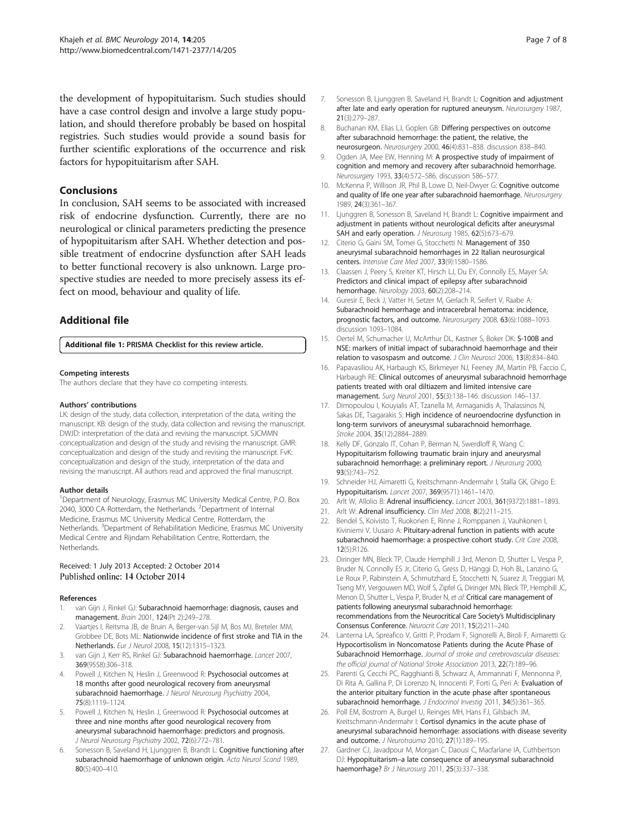<span id="page-6-0"></span>the development of hypopituitarism. Such studies should have a case control design and involve a large study population, and should therefore probably be based on hospital registries. Such studies would provide a sound basis for further scientific explorations of the occurrence and risk factors for hypopituitarism after SAH.

# Conclusions

In conclusion, SAH seems to be associated with increased risk of endocrine dysfunction. Currently, there are no neurological or clinical parameters predicting the presence of hypopituitarism after SAH. Whether detection and possible treatment of endocrine dysfunction after SAH leads to better functional recovery is also unknown. Large prospective studies are needed to more precisely assess its effect on mood, behaviour and quality of life.

# Additional file

[Additional file 1:](http://www.biomedcentral.com/content/supplementary/s12883-014-0205-0-s1.doc) PRISMA Checklist for this review article.

#### Competing interests

The authors declare that they have co competing interests.

#### Authors' contributions

LK: design of the study, data collection, interpretation of the data, writing the manuscript. KB: design of the study, data collection and revising the manuscript. DWJD: interpretation of the data and revising the manuscript. SJCMMN conceptualization and design of the study and revising the manuscript. GMR: conceptualization and design of the study and revising the manuscript. FvK: conceptualization and design of the study, interpretation of the data and revising the manuscript. All authors read and approved the final manuscript.

#### Author details

<sup>1</sup>Department of Neurology, Erasmus MC University Medical Centre, P.O. Box 2040, 3000 CA Rotterdam, the Netherlands. <sup>2</sup>Department of Internal Medicine, Erasmus MC University Medical Centre, Rotterdam, the Netherlands. <sup>3</sup>Department of Rehabilitation Medicine, Erasmus MC University Medical Centre and Rijndam Rehabilitation Centre, Rotterdam, the Netherlands.

#### Received: 1 July 2013 Accepted: 2 October 2014 Published online: 14 October 2014

#### References

- 1. van Gijn J, Rinkel GJ: Subarachnoid haemorrhage: diagnosis, causes and management. Brain 2001, 124(Pt 2):249–278.
- Vaartjes I, Reitsma JB, de Bruin A, Berger-van Sijl M, Bos MJ, Breteler MM, Grobbee DE, Bots ML: Nationwide incidence of first stroke and TIA in the Netherlands. Eur J Neurol 2008, 15(12):1315–1323.
- 3. van Gijn J, Kerr RS, Rinkel GJ: Subarachnoid haemorrhage. Lancet 2007, 369(9558):306–318.
- Powell J, Kitchen N, Heslin J, Greenwood R: Psychosocial outcomes at 18 months after good neurological recovery from aneurysmal subarachnoid haemorrhage. J Neurol Neurosurg Psychiatry 2004, 75(8):1119–1124.
- Powell J, Kitchen N, Heslin J, Greenwood R: Psychosocial outcomes at three and nine months after good neurological recovery from aneurysmal subarachnoid haemorrhage: predictors and prognosis. J Neurol Neurosurg Psychiatry 2002, 72(6):772-781.
- Sonesson B, Saveland H, Ljunggren B, Brandt L: Cognitive functioning after subarachnoid haemorrhage of unknown origin. Acta Neurol Scand 1989, 80(5):400–410.
- Sonesson B, Ljunggren B, Saveland H, Brandt L: Cognition and adjustment after late and early operation for ruptured aneurysm. Neurosurgery 1987, 21(3):279–287.
- Buchanan KM, Elias LJ, Goplen GB: Differing perspectives on outcome after subarachnoid hemorrhage: the patient, the relative, the neurosurgeon. Neurosurgery 2000, 46(4):831–838. discussion 838–840.
- 9. Ogden JA, Mee EW, Henning M: A prospective study of impairment of cognition and memory and recovery after subarachnoid hemorrhage. Neurosurgery 1993, 33(4):572–586. discussion 586–577.
- 10. McKenna P, Willison JR, Phil B, Lowe D, Neil-Dwyer G: Cognitive outcome and quality of life one year after subarachnoid haemorrhage. Neurosurgery 1989, 24(3):361–367.
- 11. Ljunggren B, Sonesson B, Saveland H, Brandt L: Cognitive impairment and adjustment in patients without neurological deficits after aneurysmal SAH and early operation. J Neurosurg 1985, 62(5):673-679.
- 12. Citerio G, Gaini SM, Tomei G, Stocchetti N: Management of 350 aneurysmal subarachnoid hemorrhages in 22 Italian neurosurgical centers. Intensive Care Med 2007, 33(9):1580–1586.
- 13. Claassen J, Peery S, Kreiter KT, Hirsch LJ, Du EY, Connolly ES, Mayer SA: Predictors and clinical impact of epilepsy after subarachnoid hemorrhage. Neurology 2003, 60(2):208–214.
- 14. Guresir E, Beck J, Vatter H, Setzer M, Gerlach R, Seifert V, Raabe A: Subarachnoid hemorrhage and intracerebral hematoma: incidence, prognostic factors, and outcome. Neurosurgery 2008, 63(6):1088–1093. discussion 1093–1084.
- 15. Oertel M, Schumacher U, McArthur DL, Kastner S, Boker DK: S-100B and NSE: markers of initial impact of subarachnoid haemorrhage and their relation to vasospasm and outcome. J Clin Neurosci 2006, 13(8):834-840.
- 16. Papavasiliou AK, Harbaugh KS, Birkmeyer NJ, Feeney JM, Martin PB, Faccio C, Harbaugh RE: Clinical outcomes of aneurysmal subarachnoid hemorrhage patients treated with oral diltiazem and limited intensive care management. Surg Neurol 2001, 55(3):138–146. discussion 146–137.
- 17. Dimopoulou I, Kouyialis AT, Tzanella M, Armaganidis A, Thalassinos N, Sakas DE, Tsagarakis S: High incidence of neuroendocrine dysfunction in long-term survivors of aneurysmal subarachnoid hemorrhage. Stroke 2004, 35(12):2884–2889.
- 18. Kelly DF, Gonzalo IT, Cohan P, Berman N, Swerdloff R, Wang C: Hypopituitarism following traumatic brain injury and aneurysmal subarachnoid hemorrhage: a preliminary report. J Neurosurg 2000, 93(5):743–752.
- 19. Schneider HJ, Aimaretti G, Kreitschmann-Andermahr I, Stalla GK, Ghigo E: Hypopituitarism. Lancet 2007, 369(9571):1461–1470.
- 20. Arlt W, Allolio B: Adrenal insufficiency. Lancet 2003, 361(9372):1881-1893.
- 21. Arlt W: Adrenal insufficiency. Clin Med 2008, 8(2):211–215.
- 22. Bendel S, Koivisto T, Ruokonen E, Rinne J, Romppanen J, Vauhkonen I, Kiviniemi V, Uusaro A: Pituitary-adrenal function in patients with acute subarachnoid haemorrhage: a prospective cohort study. Crit Care 2008, 12(5):R126.
- 23. Diringer MN, Bleck TP, Claude Hemphill J 3rd, Menon D, Shutter L, Vespa P, Bruder N, Connolly ES Jr, Citerio G, Gress D, Hänggi D, Hoh BL, Lanzino G, Le Roux P, Rabinstein A, Schmutzhard E, Stocchetti N, Suarez JI, Treggiari M, Tseng MY, Vergouwen MD, Wolf S, Zipfel G, Diringer MN, Bleck TP, Hemphill JC, Menon D, Shutter L, Vespa P, Bruder N, et al: Critical care management of patients following aneurysmal subarachnoid hemorrhage: recommendations from the Neurocritical Care Society's Multidisciplinary Consensus Conference. Neurocrit Care 2011, 15(2):211–240.
- 24. Lanterna LA, Spreafico V, Gritti P, Prodam F, Signorelli A, Biroli F, Aimaretti G: Hypocortisolism in Noncomatose Patients during the Acute Phase of Subarachnoid Hemorrhage. Journal of stroke and cerebrovascular diseases: the official journal of National Stroke Association 2013, 22(7):189–96.
- 25. Parenti G, Cecchi PC, Ragghianti B, Schwarz A, Ammannati F, Mennonna P, Di Rita A, Gallina P, Di Lorenzo N, Innocenti P, Forti G, Peri A: Evaluation of the anterior pituitary function in the acute phase after spontaneous subarachnoid hemorrhage. J Endocrinol Investig 2011, 34(5):361-365.
- 26. Poll EM, Bostrom A, Burgel U, Reinges MH, Hans FJ, Gilsbach JM, Kreitschmann-Andermahr I: Cortisol dynamics in the acute phase of aneurysmal subarachnoid hemorrhage: associations with disease severity and outcome. J Neurotrauma 2010, 27(1):189–195.
- 27. Gardner CJ, Javadpour M, Morgan C, Daousi C, Macfarlane IA, Cuthbertson DJ: Hypopituitarism–a late consequence of aneurysmal subarachnoid haemorrhage? Br J Neurosurg 2011, 25(3):337-338.